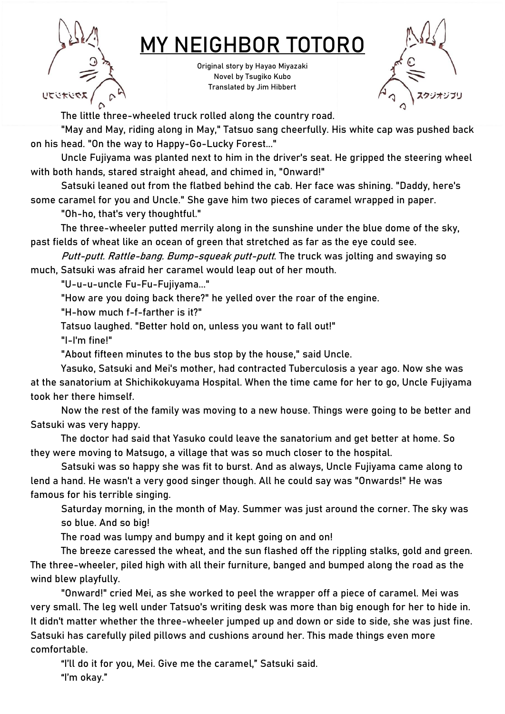

## MY NEIGHBOR TOTORO

Original story by Hayao Miyazaki Novel by Tsugiko Kubo Translated by Jim Hibbert



The little three-wheeled truck rolled along the country road.

"May and May, riding along in May," Tatsuo sang cheerfully. His white cap was pushed back on his head. "On the way to Happy-Go-Lucky Forest..."

Uncle Fujiyama was planted next to him in the driver's seat. He gripped the steering wheel with both hands, stared straight ahead, and chimed in, "Onward!"

Satsuki leaned out from the flatbed behind the cab. Her face was shining. "Daddy, here's some caramel for you and Uncle." She gave him two pieces of caramel wrapped in paper.

"Oh-ho, that's very thoughtful."

The three-wheeler putted merrily along in the sunshine under the blue dome of the sky, past fields of wheat like an ocean of green that stretched as far as the eye could see.

Putt-putt. Rattle-bang. Bump-squeak putt-putt. The truck was jolting and swaying so much, Satsuki was afraid her caramel would leap out of her mouth.

"U-u-u-uncle Fu-Fu-Fujiyama..."

"How are you doing back there?" he yelled over the roar of the engine.

"H-how much f-f-farther is it?"

Tatsuo laughed. "Better hold on, unless you want to fall out!"

"I-I'm fine!"

"About fifteen minutes to the bus stop by the house," said Uncle.

Yasuko, Satsuki and Mei's mother, had contracted Tuberculosis a year ago. Now she was at the sanatorium at Shichikokuyama Hospital. When the time came for her to go, Uncle Fujiyama took her there himself.

Now the rest of the family was moving to a new house. Things were going to be better and Satsuki was very happy.

The doctor had said that Yasuko could leave the sanatorium and get better at home. So they were moving to Matsugo, a village that was so much closer to the hospital.

Satsuki was so happy she was fit to burst. And as always, Uncle Fujiyama came along to lend a hand. He wasn't a very good singer though. All he could say was "Onwards!" He was famous for his terrible singing.

Saturday morning, in the month of May. Summer was just around the corner. The sky was so blue. And so big!

The road was lumpy and bumpy and it kept going on and on!

The breeze caressed the wheat, and the sun flashed off the rippling stalks, gold and green. The three-wheeler, piled high with all their furniture, banged and bumped along the road as the wind blew playfully.

"Onward!" cried Mei, as she worked to peel the wrapper off a piece of caramel. Mei was very small. The leg well under Tatsuo's writing desk was more than big enough for her to hide in. It didn't matter whether the three-wheeler jumped up and down or side to side, she was just fine. Satsuki has carefully piled pillows and cushions around her. This made things even more comfortable.

"I'll do it for you, Mei. Give me the caramel," Satsuki said. "I'm okay."